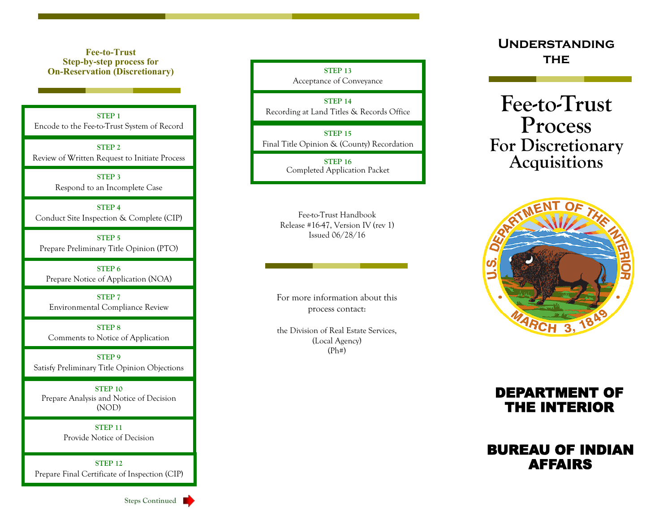**Fee-to-Trust Step-by-step process for On-Reservation (Discretionary)**

**STEP 1** Encode to the Fee-to-Trust System of Record

**STEP 2** Review of Written Request to Initiate Process

> **STEP 3** Respond to an Incomplete Case

**STEP 4** Conduct Site Inspection & Complete (CIP)

**STEP 5** Prepare Preliminary Title Opinion (PTO)

**STEP 6** Prepare Notice of Application (NOA)

**STEP 7** Environmental Compliance Review

**STEP 8** Comments to Notice of Application

**STEP 9** Satisfy Preliminary Title Opinion Objections

**STEP 10** Prepare Analysis and Notice of Decision (NOD)

> **STEP 11** Provide Notice of Decision

**STEP 12** Prepare Final Certificate of Inspection (CIP)

**Steps Continued** 

**STEP 13** Acceptance of Conveyance

**STEP 14** Recording at Land Titles & Records Office

**STEP 15** Final Title Opinion & (County) Recordation

> **STEP 16** Completed Application Packet

Fee-to-Trust Handbook Release #16-47, Version IV (rev 1) Issued 06/28/16

For more information about this process contact:

the Division of Real Estate Services, (Local Agency)  $(Ph#)$ 

**Understanding THE** 

**Fee-to-Trust Process For Discretionary Acquisitions**